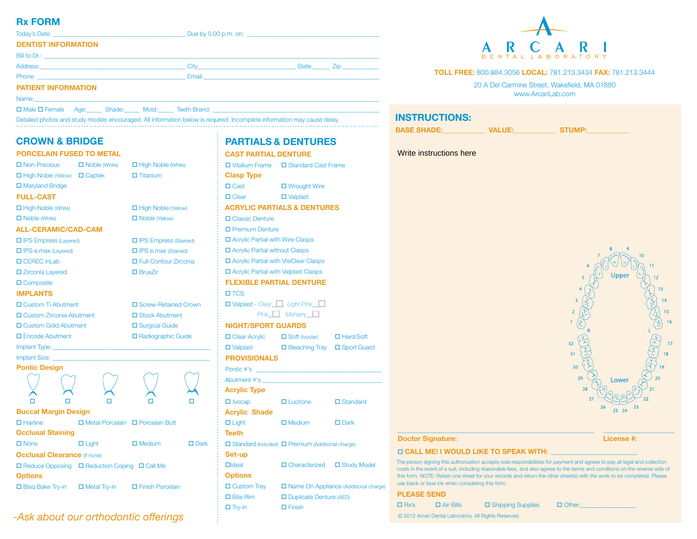# **Rx FORM**

|                            | Due by 5:00 p.m. on: $\blacksquare$                                                                                                                                                                                            |           |  |
|----------------------------|--------------------------------------------------------------------------------------------------------------------------------------------------------------------------------------------------------------------------------|-----------|--|
| <b>DENTIST INFORMATION</b> |                                                                                                                                                                                                                                |           |  |
|                            |                                                                                                                                                                                                                                |           |  |
|                            |                                                                                                                                                                                                                                | State Zip |  |
|                            | Email: Email: All and the state of the state of the state of the state of the state of the state of the state of the state of the state of the state of the state of the state of the state of the state of the state of the s |           |  |
| <b>PATIENT INFORMATION</b> |                                                                                                                                                                                                                                |           |  |
| Name:                      |                                                                                                                                                                                                                                |           |  |

□ Male □ Female Age: Shade: \_\_\_\_\_\_\_ Mold: Teeth Brand:

Detailed photos and study models encouraged. All information below is required. Incomplete information may cause delay. **INSTRUCTIONS:** 

# **CROWN & BRIDGE**

| <b>PORCELAIN FUSED TO METAL</b> |
|---------------------------------|
|---------------------------------|

| $\Box$ Noble (White)                                          | $\Box$ High Noble (White)  |                                                                     |  |
|---------------------------------------------------------------|----------------------------|---------------------------------------------------------------------|--|
| $\Box$ High Noble (Yellow) $\Box$ Captek                      |                            |                                                                     |  |
|                                                               |                            |                                                                     |  |
|                                                               |                            |                                                                     |  |
|                                                               |                            |                                                                     |  |
|                                                               | □ Noble (Yellow)           |                                                                     |  |
| <b>ALL-CERAMIC/CAD-CAM</b>                                    |                            |                                                                     |  |
| <b>O</b> IPS Empress (Layered)                                |                            |                                                                     |  |
|                                                               | $\Box$ IPS e.max (Stained) |                                                                     |  |
|                                                               | □ Full-Contour Zirconia    |                                                                     |  |
|                                                               | $\Box$ BruxZir             |                                                                     |  |
|                                                               |                            |                                                                     |  |
|                                                               |                            |                                                                     |  |
| □ Custom Ti Abutment                                          | □ Screw-Retained Crown     |                                                                     |  |
| □ Custom Zirconia Abutment                                    |                            | □ Stock Abutment                                                    |  |
| □ Custom Gold Abutment                                        |                            | □ Surgical Guide                                                    |  |
| $\Box$ Encode Abutment                                        |                            | □ Radiographic Guide                                                |  |
|                                                               |                            |                                                                     |  |
|                                                               |                            |                                                                     |  |
|                                                               |                            |                                                                     |  |
|                                                               |                            |                                                                     |  |
|                                                               |                            |                                                                     |  |
|                                                               |                            |                                                                     |  |
|                                                               |                            |                                                                     |  |
| <b>Buccal Margin Design</b>                                   |                            |                                                                     |  |
| □ Metal-Porcelain □ Porcelain Butt                            |                            |                                                                     |  |
|                                                               |                            |                                                                     |  |
| $\Box$ Light                                                  | $\Box$ Medium              | $\square$ Dark                                                      |  |
| <b>Occlusal Clearance (If none)</b>                           |                            |                                                                     |  |
| $\Box$ Reduce Opposing $\Box$ Reduction Coping $\Box$ Call Me |                            |                                                                     |  |
|                                                               |                            |                                                                     |  |
| $\Box$ Metal Try-in                                           | □ Finish Porcelain         |                                                                     |  |
|                                                               |                            | $\Box$ Titanium<br>□ High Noble (Yellow)<br>□ IPS Empress (Stained) |  |

# *-Ask about our orthodontic offerings*

| <b>PARTIALS &amp; DENTURES</b>                                |                                                                 |                 |
|---------------------------------------------------------------|-----------------------------------------------------------------|-----------------|
| <b>CAST PARTIAL DENTURE</b>                                   |                                                                 |                 |
| □ Vitalium Frame □ Standard Cast Frame                        |                                                                 |                 |
| <b>Clasp Type</b>                                             |                                                                 |                 |
| $\Box$ Cast                                                   | □ Wrought Wire                                                  |                 |
| $\Box$ Clear                                                  | $\Box$ Valplast                                                 |                 |
| <b>ACRYLIC PARTIALS &amp; DENTURES</b>                        |                                                                 |                 |
| □ Classic Denture                                             |                                                                 |                 |
| <b>D</b> Premium Denture                                      |                                                                 |                 |
| □ Acrylic Partial with Wire Clasps                            |                                                                 |                 |
| □ Acrylic Partial without Clasps                              |                                                                 |                 |
| □ Acrylic Partial with VisiClear Clasps                       |                                                                 |                 |
| □ Acrylic Partial with Valplast Clasps                        |                                                                 |                 |
| <b>FLEXIBLE PARTIAL DENTURE</b>                               |                                                                 |                 |
| $\square$ TCS                                                 |                                                                 |                 |
| □ Valplast - Clear Light Pink                                 |                                                                 |                 |
|                                                               | $Pink$ $\Box$ Meharry $\Box$                                    |                 |
| <b>NIGHT/SPORT GUARDS</b>                                     |                                                                 |                 |
| □ Clear Acrylic □ Soft (Ivoclar) □ Hard/Soft                  |                                                                 |                 |
| □ Valplast □ Bleaching Tray □ Sport Guard                     |                                                                 |                 |
| <b>PROVISIONALS</b>                                           |                                                                 |                 |
| Pontic #'s                                                    |                                                                 |                 |
| Abutment #'s                                                  |                                                                 |                 |
| <b>Acrylic Type</b>                                           |                                                                 |                 |
| $\Box$ Ivocap                                                 | $\Box$ Lucitone                                                 | $\Box$ Standard |
| <b>Acrylic Shade</b>                                          |                                                                 |                 |
| $\Box$ Light                                                  | $\Box$ Medium                                                   | $\square$ Dark  |
| <b>Teeth</b>                                                  |                                                                 |                 |
| $\Box$ Standard (included) $\Box$ Premium (Additional charge) |                                                                 |                 |
| Set-up                                                        |                                                                 |                 |
| $D$ Ideal                                                     | □ Characterized □ Study Model                                   |                 |
| <b>Options</b>                                                |                                                                 |                 |
|                                                               | $\Box$ Custom Tray $\Box$ Name On Appliance (Additional charge) |                 |
| $\square$ Bite Rim                                            | Duplicate Denture (AED)                                         |                 |
| $\square$ Try-in                                              | $\square$ Finish                                                |                 |

# DENTAL LABORATORY

#### **TOLL FREE:** 800.884.3056 **LOCAL:** 781.213.3434 **FAX:** 781.213.3444

20 A Del Carmine Street, Wakefield, MA 01880 www.ArcariLab.com

# **BASE SHADE:** WALUE: WALUE: STUMP: Write instructions hereUnne 31  $30$ 29  $I$  OWE

#### **Doctor Signature:** License #:

 $25$  $24$ 

#### **CALL ME! I WOULD LIKE TO SPEAK WITH:** \_\_\_\_\_\_\_\_\_\_\_\_\_\_\_\_\_\_\_\_\_\_\_\_\_\_\_\_

The person signing this authorization accepts sole responsibilities for payment and agrees to pay all legal and collection costs in the event of a suit, including reasonable fees, and also agrees to the terms and conditions on the reverse side of this form. NOTE: Retain one sheet for your records and return the other sheet(s) with the work to be completed. Please use black or blue ink when completing this form.

 $\_$  , and the set of the set of the set of the set of the set of the set of the set of the set of the set of the set of the set of the set of the set of the set of the set of the set of the set of the set of the set of th

| <b>PLEASE SEND</b>                                    |                  |                     |               |  |
|-------------------------------------------------------|------------------|---------------------|---------------|--|
| $\Box$ Rx's                                           | $\Box$ Air Bills | □ Shipping Supplies | $\Box$ Other: |  |
| © 2012 Arcari Dental Laboratory. All Rights Reserved. |                  |                     |               |  |